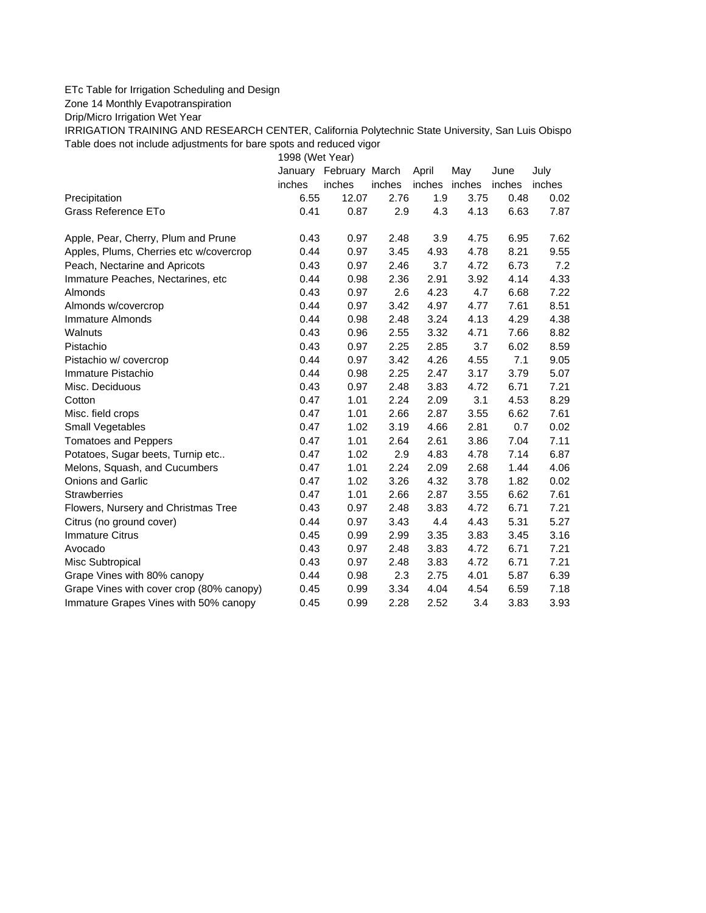## ETc Table for Irrigation Scheduling and Design

Zone 14 Monthly Evapotranspiration

Drip/Micro Irrigation Wet Year

IRRIGATION TRAINING AND RESEARCH CENTER, California Polytechnic State University, San Luis Obispo Table does not include adjustments for bare spots and reduced vigor

1998 (Wet Year)

|                                          | January | February March |        | April  | May    | June   | July   |
|------------------------------------------|---------|----------------|--------|--------|--------|--------|--------|
|                                          | inches  | inches         | inches | inches | inches | inches | inches |
| Precipitation                            | 6.55    | 12.07          | 2.76   | 1.9    | 3.75   | 0.48   | 0.02   |
| Grass Reference ETo                      | 0.41    | 0.87           | 2.9    | 4.3    | 4.13   | 6.63   | 7.87   |
| Apple, Pear, Cherry, Plum and Prune      | 0.43    | 0.97           | 2.48   | 3.9    | 4.75   | 6.95   | 7.62   |
| Apples, Plums, Cherries etc w/covercrop  | 0.44    | 0.97           | 3.45   | 4.93   | 4.78   | 8.21   | 9.55   |
| Peach, Nectarine and Apricots            | 0.43    | 0.97           | 2.46   | 3.7    | 4.72   | 6.73   | 7.2    |
| Immature Peaches, Nectarines, etc        | 0.44    | 0.98           | 2.36   | 2.91   | 3.92   | 4.14   | 4.33   |
| Almonds                                  | 0.43    | 0.97           | 2.6    | 4.23   | 4.7    | 6.68   | 7.22   |
| Almonds w/covercrop                      | 0.44    | 0.97           | 3.42   | 4.97   | 4.77   | 7.61   | 8.51   |
| Immature Almonds                         | 0.44    | 0.98           | 2.48   | 3.24   | 4.13   | 4.29   | 4.38   |
| Walnuts                                  | 0.43    | 0.96           | 2.55   | 3.32   | 4.71   | 7.66   | 8.82   |
| Pistachio                                | 0.43    | 0.97           | 2.25   | 2.85   | 3.7    | 6.02   | 8.59   |
| Pistachio w/ covercrop                   | 0.44    | 0.97           | 3.42   | 4.26   | 4.55   | 7.1    | 9.05   |
| Immature Pistachio                       | 0.44    | 0.98           | 2.25   | 2.47   | 3.17   | 3.79   | 5.07   |
| Misc. Deciduous                          | 0.43    | 0.97           | 2.48   | 3.83   | 4.72   | 6.71   | 7.21   |
| Cotton                                   | 0.47    | 1.01           | 2.24   | 2.09   | 3.1    | 4.53   | 8.29   |
| Misc. field crops                        | 0.47    | 1.01           | 2.66   | 2.87   | 3.55   | 6.62   | 7.61   |
| <b>Small Vegetables</b>                  | 0.47    | 1.02           | 3.19   | 4.66   | 2.81   | 0.7    | 0.02   |
| <b>Tomatoes and Peppers</b>              | 0.47    | 1.01           | 2.64   | 2.61   | 3.86   | 7.04   | 7.11   |
| Potatoes, Sugar beets, Turnip etc        | 0.47    | 1.02           | 2.9    | 4.83   | 4.78   | 7.14   | 6.87   |
| Melons, Squash, and Cucumbers            | 0.47    | 1.01           | 2.24   | 2.09   | 2.68   | 1.44   | 4.06   |
| <b>Onions and Garlic</b>                 | 0.47    | 1.02           | 3.26   | 4.32   | 3.78   | 1.82   | 0.02   |
| <b>Strawberries</b>                      | 0.47    | 1.01           | 2.66   | 2.87   | 3.55   | 6.62   | 7.61   |
| Flowers, Nursery and Christmas Tree      | 0.43    | 0.97           | 2.48   | 3.83   | 4.72   | 6.71   | 7.21   |
| Citrus (no ground cover)                 | 0.44    | 0.97           | 3.43   | 4.4    | 4.43   | 5.31   | 5.27   |
| <b>Immature Citrus</b>                   | 0.45    | 0.99           | 2.99   | 3.35   | 3.83   | 3.45   | 3.16   |
| Avocado                                  | 0.43    | 0.97           | 2.48   | 3.83   | 4.72   | 6.71   | 7.21   |
| Misc Subtropical                         | 0.43    | 0.97           | 2.48   | 3.83   | 4.72   | 6.71   | 7.21   |
| Grape Vines with 80% canopy              | 0.44    | 0.98           | 2.3    | 2.75   | 4.01   | 5.87   | 6.39   |
| Grape Vines with cover crop (80% canopy) | 0.45    | 0.99           | 3.34   | 4.04   | 4.54   | 6.59   | 7.18   |
| Immature Grapes Vines with 50% canopy    | 0.45    | 0.99           | 2.28   | 2.52   | 3.4    | 3.83   | 3.93   |